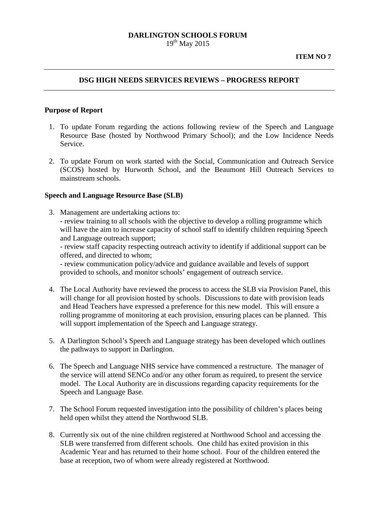#### **DARLINGTON SCHOOLS FORUM**  $19^{th}$  May 2015

#### **DSG HIGH NEEDS SERVICES REVIEWS – PROGRESS REPORT**

#### **Purpose of Report**

- 1. To update Forum regarding the actions following review of the Speech and Language Resource Base (hosted by Northwood Primary School); and the Low Incidence Needs Service.
- 2. To update Forum on work started with the Social, Communication and Outreach Service (SCOS) hosted by Hurworth School, and the Beaumont Hill Outreach Services to mainstream schools.

#### **Speech and Language Resource Base (SLB)**

3. Management are undertaking actions to: - review training to all schools with the objective to develop a rolling programme which will have the aim to increase capacity of school staff to identify children requiring Speech and Language outreach support;

- review staff capacity respecting outreach activity to identify if additional support can be offered, and directed to whom;

- review communication policy/advice and guidance available and levels of support provided to schools, and monitor schools' engagement of outreach service.

- 4. The Local Authority have reviewed the process to access the SLB via Provision Panel, this will change for all provision hosted by schools. Discussions to date with provision leads and Head Teachers have expressed a preference for this new model. This will ensure a rolling programme of monitoring at each provision, ensuring places can be planned. This will support implementation of the Speech and Language strategy.
- 5. A Darlington School's Speech and Language strategy has been developed which outlines the pathways to support in Darlington.
- 6. The Speech and Language NHS service have commenced a restructure. The manager of the service will attend SENCo and/or any other forum as required, to present the service model. The Local Authority are in discussions regarding capacity requirements for the Speech and Language Base.
- 7. The School Forum requested investigation into the possibility of children's places being held open whilst they attend the Northwood SLB.
- 8. Currently six out of the nine children registered at Northwood School and accessing the SLB were transferred from different schools. One child has exited provision in this Academic Year and has returned to their home school. Four of the children entered the base at reception, two of whom were already registered at Northwood.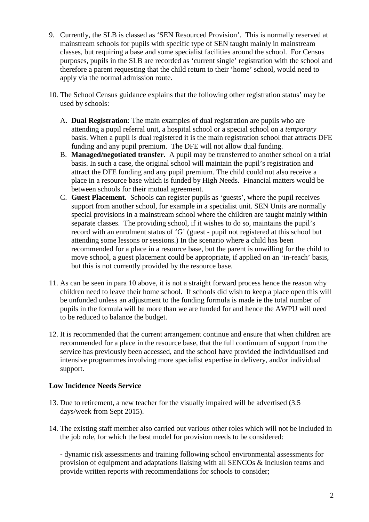- 9. Currently, the SLB is classed as 'SEN Resourced Provision'. This is normally reserved at mainstream schools for pupils with specific type of SEN taught mainly in mainstream classes, but requiring a base and some specialist facilities around the school. For Census purposes, pupils in the SLB are recorded as 'current single' registration with the school and therefore a parent requesting that the child return to their 'home' school, would need to apply via the normal admission route.
- 10. The School Census guidance explains that the following other registration status' may be used by schools:
	- A. **Dual Registration**: The main examples of dual registration are pupils who are attending a pupil referral unit, a hospital school or a special school on a *temporary* basis. When a pupil is dual registered it is the main registration school that attracts DFE funding and any pupil premium. The DFE will not allow dual funding.
	- B. **Managed/negotiated transfer.** A pupil may be transferred to another school on a trial basis. In such a case, the original school will maintain the pupil's registration and attract the DFE funding and any pupil premium. The child could not also receive a place in a resource base which is funded by High Needs. Financial matters would be between schools for their mutual agreement.
	- C. **Guest Placement.** Schools can register pupils as 'guests', where the pupil receives support from another school, for example in a specialist unit. SEN Units are normally special provisions in a mainstream school where the children are taught mainly within separate classes. The providing school, if it wishes to do so, maintains the pupil's record with an enrolment status of 'G' (guest - pupil not registered at this school but attending some lessons or sessions.) In the scenario where a child has been recommended for a place in a resource base, but the parent is unwilling for the child to move school, a guest placement could be appropriate, if applied on an 'in-reach' basis, but this is not currently provided by the resource base.
- 11. As can be seen in para 10 above, it is not a straight forward process hence the reason why children need to leave their home school. If schools did wish to keep a place open this will be unfunded unless an adjustment to the funding formula is made ie the total number of pupils in the formula will be more than we are funded for and hence the AWPU will need to be reduced to balance the budget.
- 12. It is recommended that the current arrangement continue and ensure that when children are recommended for a place in the resource base, that the full continuum of support from the service has previously been accessed, and the school have provided the individualised and intensive programmes involving more specialist expertise in delivery, and/or individual support.

# **Low Incidence Needs Service**

- 13. Due to retirement, a new teacher for the visually impaired will be advertised (3.5 days/week from Sept 2015).
- 14. The existing staff member also carried out various other roles which will not be included in the job role, for which the best model for provision needs to be considered:

- dynamic risk assessments and training following school environmental assessments for provision of equipment and adaptations liaising with all SENCOs & Inclusion teams and provide written reports with recommendations for schools to consider;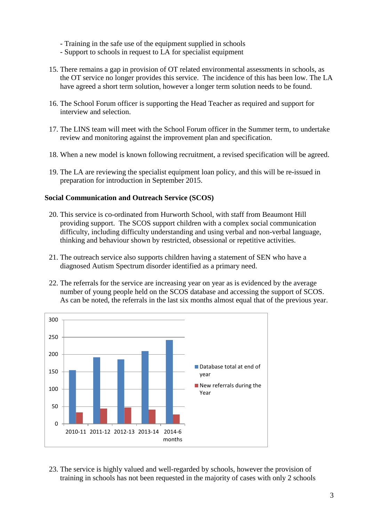- Training in the safe use of the equipment supplied in schools
- Support to schools in request to LA for specialist equipment
- 15. There remains a gap in provision of OT related environmental assessments in schools, as the OT service no longer provides this service. The incidence of this has been low. The LA have agreed a short term solution, however a longer term solution needs to be found.
- 16. The School Forum officer is supporting the Head Teacher as required and support for interview and selection.
- 17. The LINS team will meet with the School Forum officer in the Summer term, to undertake review and monitoring against the improvement plan and specification.
- 18. When a new model is known following recruitment, a revised specification will be agreed.
- 19. The LA are reviewing the specialist equipment loan policy, and this will be re-issued in preparation for introduction in September 2015.

## **Social Communication and Outreach Service (SCOS)**

- 20. This service is co-ordinated from Hurworth School, with staff from Beaumont Hill providing support. The SCOS support children with a complex social communication difficulty, including difficulty understanding and using verbal and non-verbal language, thinking and behaviour shown by restricted, obsessional or repetitive activities.
- 21. The outreach service also supports children having a statement of SEN who have a diagnosed Autism Spectrum disorder identified as a primary need.
- 22. The referrals for the service are increasing year on year as is evidenced by the average number of young people held on the SCOS database and accessing the support of SCOS. As can be noted, the referrals in the last six months almost equal that of the previous year.



23. The service is highly valued and well-regarded by schools, however the provision of training in schools has not been requested in the majority of cases with only 2 schools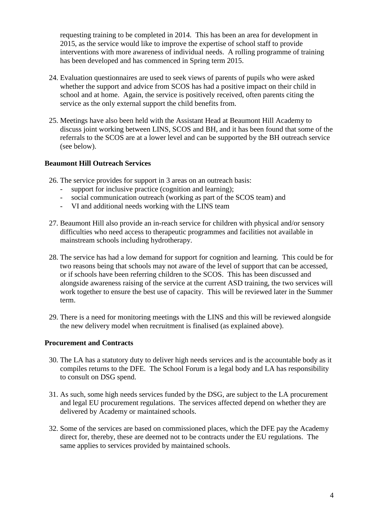requesting training to be completed in 2014. This has been an area for development in 2015, as the service would like to improve the expertise of school staff to provide interventions with more awareness of individual needs. A rolling programme of training has been developed and has commenced in Spring term 2015.

- 24. Evaluation questionnaires are used to seek views of parents of pupils who were asked whether the support and advice from SCOS has had a positive impact on their child in school and at home. Again, the service is positively received, often parents citing the service as the only external support the child benefits from.
- 25. Meetings have also been held with the Assistant Head at Beaumont Hill Academy to discuss joint working between LINS, SCOS and BH, and it has been found that some of the referrals to the SCOS are at a lower level and can be supported by the BH outreach service (see below).

# **Beaumont Hill Outreach Services**

- 26. The service provides for support in 3 areas on an outreach basis:
	- support for inclusive practice (cognition and learning);
	- social communication outreach (working as part of the SCOS team) and
	- VI and additional needs working with the LINS team
- 27. Beaumont Hill also provide an in-reach service for children with physical and/or sensory difficulties who need access to therapeutic programmes and facilities not available in mainstream schools including hydrotherapy.
- 28. The service has had a low demand for support for cognition and learning. This could be for two reasons being that schools may not aware of the level of support that can be accessed, or if schools have been referring children to the SCOS. This has been discussed and alongside awareness raising of the service at the current ASD training, the two services will work together to ensure the best use of capacity. This will be reviewed later in the Summer term.
- 29. There is a need for monitoring meetings with the LINS and this will be reviewed alongside the new delivery model when recruitment is finalised (as explained above).

# **Procurement and Contracts**

- 30. The LA has a statutory duty to deliver high needs services and is the accountable body as it compiles returns to the DFE. The School Forum is a legal body and LA has responsibility to consult on DSG spend.
- 31. As such, some high needs services funded by the DSG, are subject to the LA procurement and legal EU procurement regulations. The services affected depend on whether they are delivered by Academy or maintained schools.
- 32. Some of the services are based on commissioned places, which the DFE pay the Academy direct for, thereby, these are deemed not to be contracts under the EU regulations. The same applies to services provided by maintained schools.